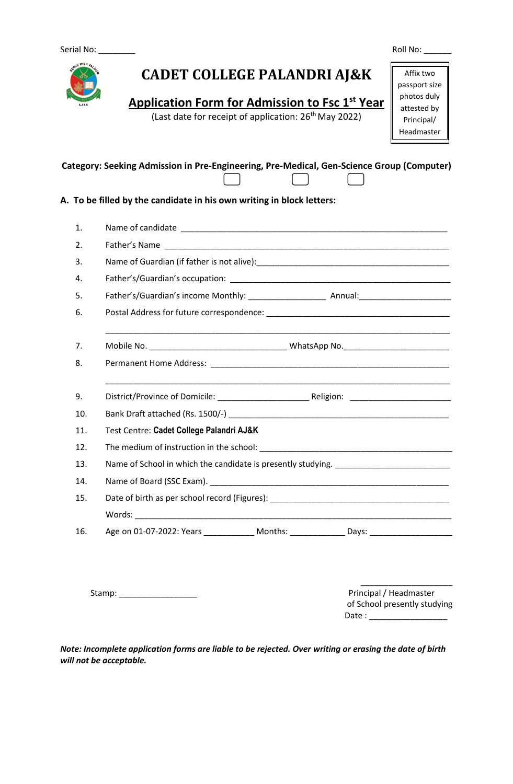# **CADET COLLEGE PALANDRI AJ&K**

**Application Form for Admission to Fsc 1st Year**

(Last date for receipt of application: 26<sup>th</sup> May 2022)

Affix two passport size photos duly attested by Principal/ Headmaster

| Category: Seeking Admission in Pre-Engineering, Pre-Medical, Gen-Science Group (Computer) |                                        |                            |  |
|-------------------------------------------------------------------------------------------|----------------------------------------|----------------------------|--|
|                                                                                           | $\begin{pmatrix} 1 \\ 1 \end{pmatrix}$ | $\mathcal{L} = \{ \Box \}$ |  |

**A. To be filled by the candidate in his own writing in block letters:**

| 1.  |                                                                                          |  |  |
|-----|------------------------------------------------------------------------------------------|--|--|
| 2.  |                                                                                          |  |  |
| 3.  |                                                                                          |  |  |
| 4.  |                                                                                          |  |  |
| 5.  |                                                                                          |  |  |
| 6.  |                                                                                          |  |  |
| 7.  |                                                                                          |  |  |
| 8.  |                                                                                          |  |  |
| 9.  |                                                                                          |  |  |
| 10. |                                                                                          |  |  |
| 11. | Test Centre: Cadet College Palandri AJ&K                                                 |  |  |
| 12. |                                                                                          |  |  |
| 13. | Name of School in which the candidate is presently studying. ____________________        |  |  |
| 14. |                                                                                          |  |  |
| 15. |                                                                                          |  |  |
|     |                                                                                          |  |  |
| 16. | Age on 01-07-2022: Years ______________ Months: _______________ Days: __________________ |  |  |

Stamp: \_\_\_\_\_\_\_\_\_\_\_\_\_\_\_\_\_ Principal / Headmaster

of School presently studying Date : \_\_\_\_\_\_\_\_\_\_\_\_\_\_\_\_\_

\_\_\_\_\_\_\_\_\_\_\_\_\_\_\_\_\_\_\_\_

*Note: Incomplete application forms are liable to be rejected. Over writing or erasing the date of birth will not be acceptable.*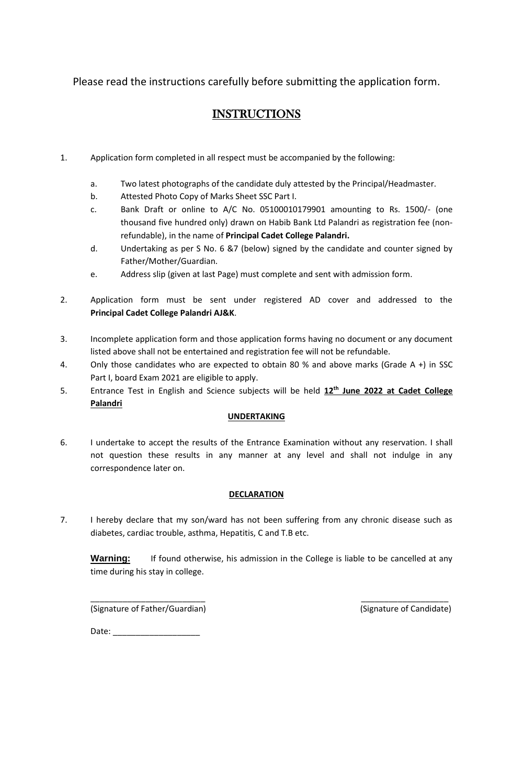Please read the instructions carefully before submitting the application form.

# INSTRUCTIONS

- 1. Application form completed in all respect must be accompanied by the following:
	- a. Two latest photographs of the candidate duly attested by the Principal/Headmaster.
	- b. Attested Photo Copy of Marks Sheet SSC Part I.
	- c. Bank Draft or online to A/C No. 05100010179901 amounting to Rs. 1500/- (one thousand five hundred only) drawn on Habib Bank Ltd Palandri as registration fee (nonrefundable), in the name of **Principal Cadet College Palandri.**
	- d. Undertaking as per S No. 6 &7 (below) signed by the candidate and counter signed by Father/Mother/Guardian.
	- e. Address slip (given at last Page) must complete and sent with admission form.
- 2. Application form must be sent under registered AD cover and addressed to the **Principal Cadet College Palandri AJ&K**.
- 3. Incomplete application form and those application forms having no document or any document listed above shall not be entertained and registration fee will not be refundable.
- 4. Only those candidates who are expected to obtain 80 % and above marks (Grade A +) in SSC Part I, board Exam 2021 are eligible to apply.
- 5. Entrance Test in English and Science subjects will be held **12th June 2022 at Cadet College Palandri**

#### **UNDERTAKING**

6. I undertake to accept the results of the Entrance Examination without any reservation. I shall not question these results in any manner at any level and shall not indulge in any correspondence later on.

#### **DECLARATION**

7. I hereby declare that my son/ward has not been suffering from any chronic disease such as diabetes, cardiac trouble, asthma, Hepatitis, C and T.B etc.

**Warning:** If found otherwise, his admission in the College is liable to be cancelled at any time during his stay in college.

\_\_\_\_\_\_\_\_\_\_\_\_\_\_\_\_\_\_\_\_\_\_\_\_\_ \_\_\_\_\_\_\_\_\_\_\_\_\_\_\_\_\_\_\_ (Signature of Father/Guardian) (Signature of Candidate)

Date:  $\Box$